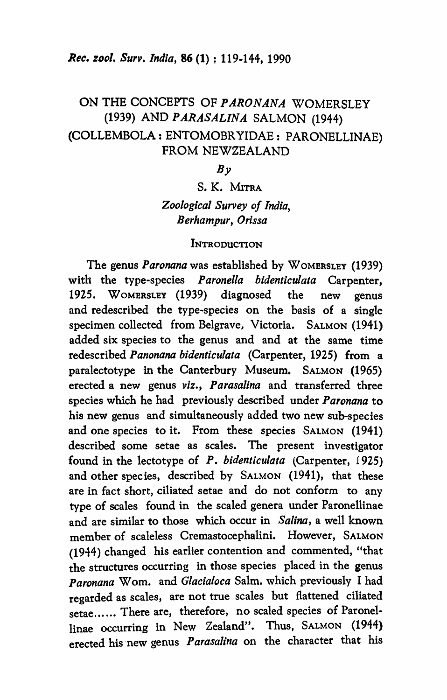# ON THE CONCEPTS OF *PARONANA* WOMERSLEY (1939) AND *P ARASALINA* SALMON (1944) (COLLEMBOLA : ENTOMOBR YIDAE: PARONELLINAE) FROM NEWZEALAND

### $Bv$

# S. K. MITRA *Zoological Survey of India, Berhampur, Orissa*

#### **INTRODUCTION**

The genus *Paronana* was established by WOMERSLEY (1939) with the type-species *Paronelfa bidenticulata* Carpenter, 1925. WOMERSLEY (1939) diagnosed the new genus and redescribed the type-species on the basis of a single specimen collected from Belgrave, Victoria. SALMON (1941) added six species to the genus and and at the same time redescribed *Panonana bidenticulata* (Carpenter, 1925) from a paralectotype in the Canterbury Museum. SALMON (1965) erected a new genus *viz., Parasalina* and transferred three species which he had previously described under *Paronana* to his new genus and simultaneously added two new sub-species and one species to it. From these species SALMON (1941) described some setae as scales. The present investigator found in the lectotype of *P. bidenticulata* (Carpenter, 1925) and other species, described by SALMON (1941), that these are in fact short, ciliated setae and do not conform to any type of scales found in the scaled genera under Paronellinae and are similar to those which occur in *Salina,* a well known member of scaleless Cremastocephalini. However, SALMON (1944) changed his earlier contention and commented, "that the structures occurring in those species placed in the genus Paronana Wom. and *Glacialoca* Salm. which previously I had regarded as scales, are not true scales but flattened ciliated setae...... There are, therefore, no scaled species of Paronellinae occurring in New Zealand". Thus, SALMON (1944) erected his "new genus *P arasalina* on the character that his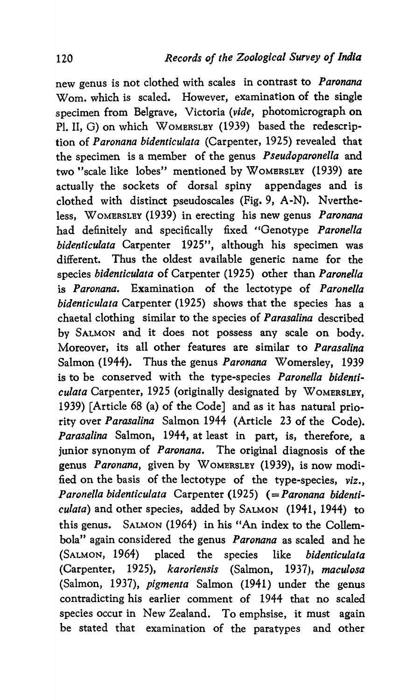new genus is not clothed with scales in contrast to *Paronana*  Wom. which is scaled. However, examination of the single specimen from Belgrave, Victoria *(vide,* photomicrograph on Pl. II, G) on which WOMERSLEY (1939) based the redescription of *Paronana bidenticulata* (Carpenter, 1925) revealed that the specimen is a member of the genus *Pseudoparonella* and two "scale like lobes" mentioned by WOMERSLEY (1939) are actually the sockets of dorsal spiny appendages and is clothed with distinct pseudoscales (Fig. 9, A-N). Nvertheless, WOMERSLEY (1939) in erecting his new genus *Paronana* had definitely and specifically fixed "Genotype *Paronella bidenticulata* Carpenter 1925", although his specimen was different. Thus the oldest available generic name for the species *bidenticulata* of Carpenter (1925) other than *Paronella*  is *Paronana.* Examination of the lectotype of *Paronella bidenticulata* Carpenter (1925) shows that the species has a chaetal clothing similar to the species of *Parasalina* described by SALMON and it does not possess any scale on body. Moreover, its all other features are similar to *Parasalina*  Salmon (1944). Thus the genus *Paronana* Womersley, 1939 is to be conserved with the type-species *P aronella bidenticulata* Carpenter, 1925 (originally designated by WOMERSLEY, 1939) [Article 68 (a) of the Code] and as it has natural priority over *Parasalina* Salmon 1944 (Article 23 of the Code). *Parasalina* Salmon, 1944, at least in part, is, therefore, a junior synonym of *Paronana.* The original diagnosis of the genus *Paronana*, given by WOMERSLEY (1939), is now modified on the basis of the lectotype of the type-species, *viz., Paronella bidenticulata* Carpenter (1925) (= *Paronana bidenticulata)* and other species, added by SALMON (1941, 1944) to this genus. SALMON (1964) in his "An index to the Collembola" again considered the genus *Paronana* as scaled and he (SALMON, 1964) placed the species like *bidenticulata*  (Carpenter, 1925), *karoriensis* (Salmon, 1937), *maculosa*  (Salmon, 1937), *pigmenta* Salmon (1941) under the genus contradicting his earlier comment of 1944 that no scaled species occur in New Zealand. To emphsise, it must again be stated that examination of the paratypes and other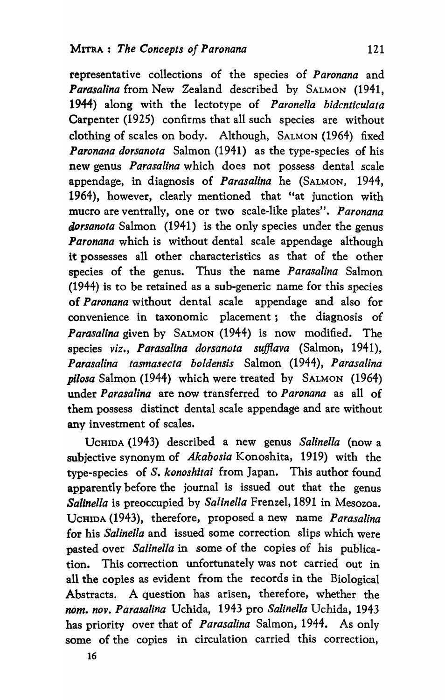representative collections of the species of *Paronana* and *Parasalina* from New Zealand described by SALMON (1941, 1944) along with the lectotype of *Paron ella bidcnticulata*  Carpenter (1925) confirms that all such species are without clothing of scales on body. Although, SALMON (1964) fixed *Paronana dorsanota* Salmon (1941) as the type-species of his new genus *Parasalina* which does not possess dental scale appendage, in diagnosis of *Parasalina* he (SALMON, 1944, 1964), however, clearly mentioned that "at junction with mucro are ventrally, one or two scale-like plates". *Paronana dorsanota* Salmon (1941) is the only species under the genus *Paronana* which is without dental scale appendage although it possesses all other characteristics as that of the other species of the genus. Thus the name *Parasalina* Salmon (1944) is to be retained as a sub-generic name for this species of *Paronana* without dental scale appendage and also for convenience in taxonomic placement; the diagnosis of *Parasalina* given by SALMON (1944) is now modified. The species *viz., Parasalina dorsanota sufflava* (Salmon, 1941), *Parasalina tasmasecta boldensis* Salmon (1944), *Parasalina pi/osa* Salmon (1944) which were treated by SALMON (1964) under *Parasalina* are now transferred to *Paronana* as all of them possess distinct dental scale appendage and are without any investment of scales.

UCHIDA (1943) described a new genus *Salinella* (now a subjective synonym of *Akabosia* Konoshita, 1919) with the type-species of *S. konoshitai* from Japan. This author found apparently before the journal is issued out that the genus *Salinella* is preoccupied by *Salinella* Frenzel, 1891 in Mesozoa. UCHIDA (1943), therefore, proposed a new name *Parasalina*  for his *Salinella* and issued some correction slips which were pasted over *Salinella* in some of the copies of his publication. This correction unfortunately was not carried out in all the copies as evident from the records in the Biological Abstracts. A question has arisen, therefore, whether the *nom. nov. Parasa/ina* Uchida, 1943 pro *Salinella* Uchida, 1943 has priority over that of *Parasalina* Salmon, 1944. As only some of the copies in circulation carried this correction,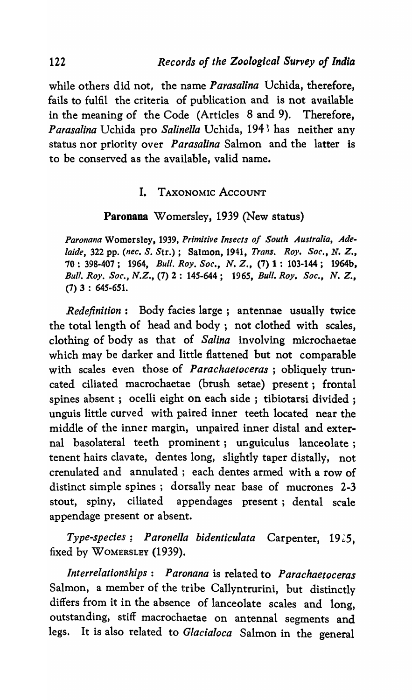while others did not, the name *Parasalina* Uchida, therefore, fails to fulfil the criteria of publication and is not available in the meaning of the Code (Articles 8 and 9). Therefore, *Parasalina* Uchida pro *Salinella* Uchida, 194<sup>3</sup> has neither any status nor priority over *Parasalina* Salmon and the latter is to be conserved as the available, valid name.

## I. TAXONOMIC ACCOUNT

### Paronana Womersley, 1939 (New status)

*Paronana* Womersley, 1939, *Primitive Insects of South Australia, Adelaide,* 322 pp. *(nee. S. Str.);* Salmon, 1941, *Trans. Roy. Soc., N. Z.,*  70 : 398·407; 1964, *Bull. Roy. Soc., N. Z.,* (7) 1: 103-144; 1964b, *Bull. Roy. Soc., N.Z.,* (7) 2: *14S·644; 1965, Bull. Roy. Soc., N. Z.,*  (7) 3 : *64S·651.* 

*Redefinition:* Body facies large; antennae usually twice the total length of head and body; not clothed with scales, clothing of body as that of *Salina* involving microchaetae which may be darker and little flattened but not comparable with scales even those of *Parachaetoceras* ; obliquely truncated ciliated macrochaetae (brush setae) present; frontal spines absent; ocelli eight on each side; tibiotarsi divided; unguis little curved with paired inner teeth located near the middle of the inner margin, unpaired inner distal and external basolateral teeth prominent; unguiculus lanceolate; tenent hairs clavate, dentes long, slightly taper distally, not crenulated and annulated; each dentes armed with a row of distinct simple spines; dorsally near base of mucrones 2-3 stout, spiny, ciliated appendages present; dental scale appendage present or absent.

*Type-species; Paronella bidenticulata* Carpenter, 19~5, fixed by WOMERSLEY (1939).

*Interrelationships: Paronana* is related to *Parachaetoceras*  Salmon, a member of the tribe Callyntrurini, but distinctly differs from it in the absence of lanceolate scales and long, outstanding, stiff macrochaetae on antennal segments and legs. It is also related to *Glacialoca* Salmon in the general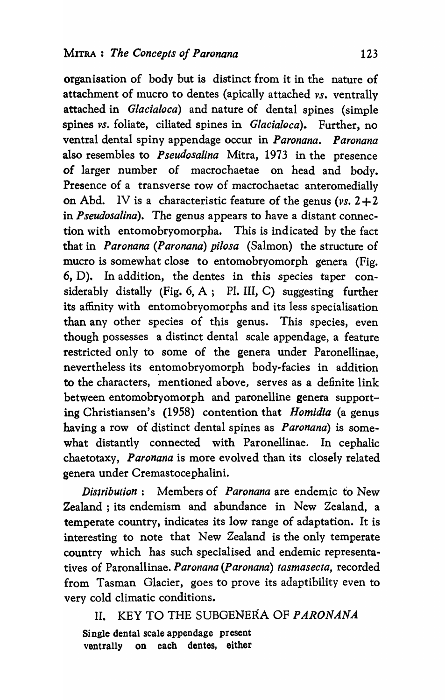organisation of body but is distinct from it in the nature of attachment of mucro to dentes (apically attached *vs.* ventrally attached in *Glacialoca)* and nature of dental spines (simple spines *vs.* foliate, ciliated spines in *Glacialoca).* Further, no ventral dental spiny appendage occur in *Paronana. Paronana*  also resembles to *Pseudosalina* Mitra, 1973 in the presence of larger number of macrochaetae on head and body. Presence of a transverse row of macrochaetac anteromedially on Abd. IV is a characteristic feature of the genus *(vs. 2+2*  in *Pseudosalina).* The genus appears to have a distant connection with entomobryomorpha. This is indicated by the fact that in *Paronana (Paronana) pilosa* (Salmon) the structure of mucro is somewhat close to entomobryomorph genera (Fig. 6, D). In addition, the dentes in this species taper considerably distally (Fig. 6, A; Pl. III, C) suggesting further its affinity with entomobryomorphs and its less specialisation than any other species of this genus. This species, even though possesses a distinct dental scale appendage, a feature restricted only to some of the genera under Paronellinae, nevertheless its entomobryomorph body-facies in addition to the characters, mentioned above, serves as a definite link between entomobryomorph and paronelline genera supporting Christiansen's (1958) contention that *Homidia* (a genus having a row of distinct dental spines as *Paronana)* is somewhat distantly connected with Paronellinae. In cephalic chaetotaxy, *Paronana* is more evolved than its closely related genera under Cremastocephalini.

*Dis/ribution:* Members of *Paronana* are endemic to New Zealand ; its endemism and abundance in New Zealand, a temperate country, indicates its low range of adaptation. It is interesting to note that New Zealand is the only temperate country which has such specIalised and endemic representatives of Paronallinae. *Paronana (Paronana) tasmasecta,* recorded from Tasman Glacier, goes to prove its adaptibility even to very cold climatic conditions.

II. KEY TO THE SUBGENERA OF *P A RONANA*  Single dental scale appendage present ventrally on each dentes, either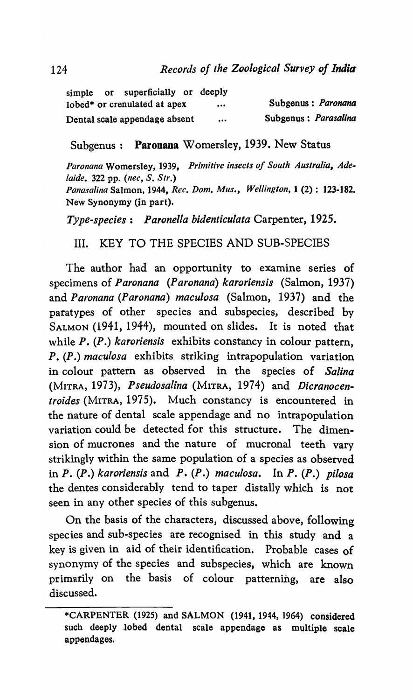|  | simple or superficially or deeply |                         |                      |
|--|-----------------------------------|-------------------------|----------------------|
|  | lobed* or crenulated at apex      | $\bullet\bullet\bullet$ | Subgenus: Paronana   |
|  | Dental scale appendage absent     |                         | Subgenus: Parasalina |

Subgenus: Paronana Womersley, 1939. New Status

*Paronana* Womersley, 1939, *Primitive insects of South Australia, Adelaide.* 322 pp. *(nee,* S. *Str.) Panasalina* Salmon, 1944, *Ree. Dom. Mus., Wellington,* 1 (2): 123-182. New Synonymy (in part).

*Type-species: Paronella bidenticulata* Carpenter, 1925.

III. KEY TO THE SPECIES AND SUB-SPECIES

The author had an opportunity to examine series of specimens of *Paronana (Paronana) karoriensis* (Salmon, 1937) and *Paronana (Paronana) maculosa* (Salmon, 1937) and the paratypes of other species and subspecies, described by SALMON (1941, 1944), mounted on slides. It is noted that while *P.* (P.) *karoriensis* exhibits constancy in colour pattern, P. *(P.) maculosa* exhibits striking intrapopulation variation in colour pattern as observed in the species of *Salina*  (MITRA, 1973), *Pseudosalina* (MITRA, 1974) and *Dicranocentroides* (MITRA, 1975). Much constancy is encountered in the nature of dental scale appendage and no intrapopulation variation could be detected for this structure. The dimension of mucrones and the nature of mucronal teeth vary strikingly within the same population of a species as observed in *P. (P.) karoriensis* and *P. (P.) maculosa.* In *P. (P.) pilosa*  the dentes considerably tend to taper distally which is not seen in any other species of this subgenus.

On the basis of the characters, discussed above, following species and sub-species are recognised in this study and a key is given in aid of their identification. Probable cases of synonymy of the species and subspecies, which are known primarily on the basis of colour patterning, are also discussed.

<sup>\*</sup>CARPENTER (1925) and SALMON (1941, 1944, 1964) considered such deeply lobed dental scale appendage as multiple scale appendages.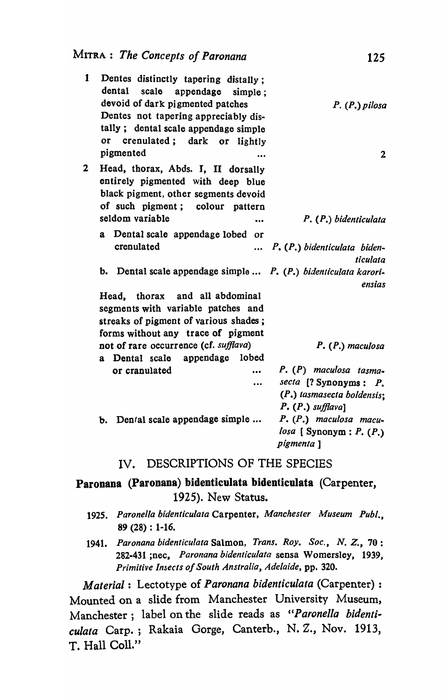| 1           | Dentes distinctly tapering distally;<br>dental scale appendage simple;<br>devoid of dark pigmented patches<br>Dentes not tapering appreciably dis-<br>tally; dental scale appendage simple<br>crenulated; dark or lightly<br>or | $P. (P.)$ pilosa                                                                    |
|-------------|---------------------------------------------------------------------------------------------------------------------------------------------------------------------------------------------------------------------------------|-------------------------------------------------------------------------------------|
|             | pigmented                                                                                                                                                                                                                       | $\overline{2}$                                                                      |
| $\mathbf 2$ | Head, thorax, Abds. I, II dorsally<br>entirely pigmented with deep blue<br>black pigment, other segments devoid<br>of such pigment; colour pattern                                                                              |                                                                                     |
|             | seldom variable<br>$\ddot{\phantom{a}}$                                                                                                                                                                                         | P. (P.) bidenticulata                                                               |
|             | a Dental scale appendage lobed or                                                                                                                                                                                               |                                                                                     |
|             | crenulated                                                                                                                                                                                                                      | P. (P.) bidenticulata biden-<br>ticulata                                            |
|             | b. Dental scale appendage simple  P. (P.) bidenticulata karori-                                                                                                                                                                 | ensias                                                                              |
|             | Head, thorax and all abdominal                                                                                                                                                                                                  |                                                                                     |
|             | segments with variable patches and                                                                                                                                                                                              |                                                                                     |
|             | streaks of pigment of various shades;                                                                                                                                                                                           |                                                                                     |
|             | forms without any trace of pigment                                                                                                                                                                                              |                                                                                     |
|             | not of rare occurrence (cf. sufflava)                                                                                                                                                                                           | $P. (P.)$ maculosa                                                                  |
|             | a Dental scale appendage lobed                                                                                                                                                                                                  |                                                                                     |
|             | or cranulated                                                                                                                                                                                                                   | P. (P) maculosa tasma-                                                              |
|             |                                                                                                                                                                                                                                 | secta $[$ ? Synonyms : $P$ .<br>(P.) tasmasecta boldensis;<br>$P. (P.)$ sufflaval   |
|             | b. Den/al scale appendage simple                                                                                                                                                                                                | $P. (P.)$ maculosa macu-<br>$\log a$ [Synonym : $P \cdot (P \cdot)$ ]<br>pigmenta 1 |

#### IV. DESCRIPTIONS OF THE SPECIES

## Paronana (Paronana) bidenticulata bidenticulata (Carpenter, 1925). New Status.

- *1925. Paronella bidenticulata* Carpenter, *Manchester Museum Pub/.,*  89 (28) : 1-16.
- *1941. Paronana bidenticu/ata* Salmon, *Trans. Roy. Soc., N. Z.,* 70: 282-431 ;nec, *Paronana bidenticulata* sensa Womersley, 1939, *Primitive Insects of South Anstralia, Adelaide,* pp. 320.

*Material:* Lectotype of *Paronana bidenticulata* (Carpenter) : Mounted on a slide from Manchester University Museum, Manchester; label on the slide reads as *"Paronella bidenticulata* Carp.; Rakaia Gorge, Canterb., N. Z., Nov. 1913, T. Hall Col1."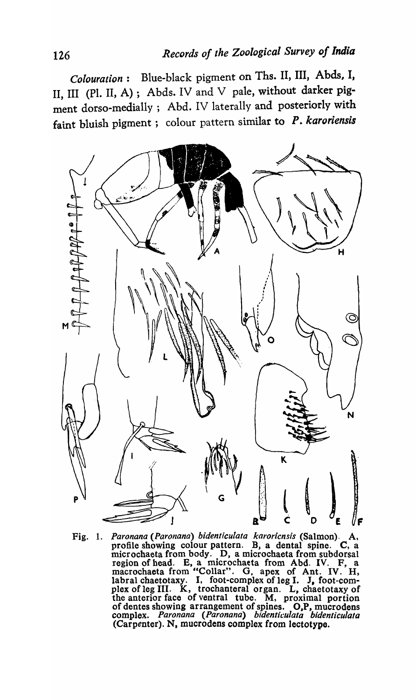*Colouration:* Blue-black pigment on Ths. II, III, Abds, I, II, III (Pl. II, A); Abds. IV and V pale, without darker pigment dorso-medially; Abd. IV laterally and posteriorly with faint bluish pigment; colour pattern similar to *P. karoriensis* 



Fig. 1. *Paronana (Paronana) bidenticulata karoricnsis (Salmon). A,* profile showing colour pattern. B, a dental spine. C, a microchaeta from body. D, a microchaeta from subdorsal region of head. B, a microchaeta from Abd. IV. F, a macrochaeta from "Collar". G. apex of Ant. IV. H, labral chaetotaxy. I, foot-complex of leg I. J, foot-complex of leg III. K, trochanteral organ. L, chaetotaxy of the anterior face of ventral tube. M, proximal portion of dentes showing arrangement of spines. O,P, mucrodens complex. *Paron ana (Paronana) bidentic:ulata bidenticulata*  (Carpenter). N, mucrodens complex from lectotype.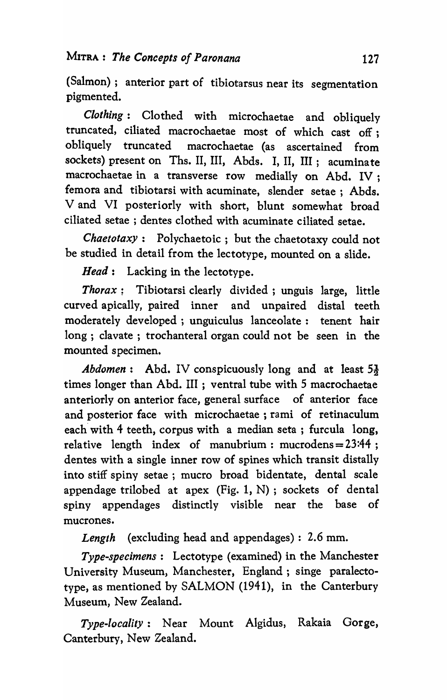(Salmon); anterior part of tibiotarsus near its segmentation pigmented.

*Clothing:* Clothed with microchaetae and obliquely truncated, ciliated macrochaetae most of which cast off; obliquely truncated macrochaetae (as ascertained from sockets) present on Ths. II, III, Abds. I, II, III; acuminate macrochaetae in a transverse row medially on Abd. IV; femora and tibiotarsi with acuminate, slender setae; Abds. V and VI posteriorly with short, blunt somewhat broad ciliated setae; dentes clothed with acuminate ciliated setae.

*Chaetotaxy:* Polychaetoic; but the chaetotaxy could not be studied in detail from the lectotype, mounted on a slide.

*Head:* Lacking in the lectotype.

*Thorax;* Tibiotarsi clearly divided; unguis large, little curved apically, paired inner and unpaired distal teeth moderately developed ; unguiculus lanceolate: tenent hair long; clavate; trochanteral organ could not be seen in the mounted specimen.

*Abdomen*: Abd. IV conspicuously long and at least  $5\frac{1}{2}$ times longer than Abd. III ; ventral tube with 5 macrochaetae anteriorly on anterior face, general surface of anterior face and posterior face with microchaetae; rami of retinaculum each with 4 teeth, corpus with a median seta; furcula long, relative length index of manubrium: mucrodens=23:44 ; dentes with a single inner row of spines which transit distally into stiff spiny setae ; mucro broad bidentate, dental scale appendage trilobed at apex (Fig. 1, N) ; sockets of dental spiny appendages distinctly visible near the base of mucrones.

*Length* (excluding head and appendages) : 2.6 mm.

*Type-specimens:* Lectotype (examined) in the Manchester University Museum, Manchester, England; singe paralectotype, as mentioned by SALMON (1941), in the Canterbury Museum, New Zealand.

*Type-locality:* Near Mount Algidus, Rakaia Gorge, Canterbury, New Zealand.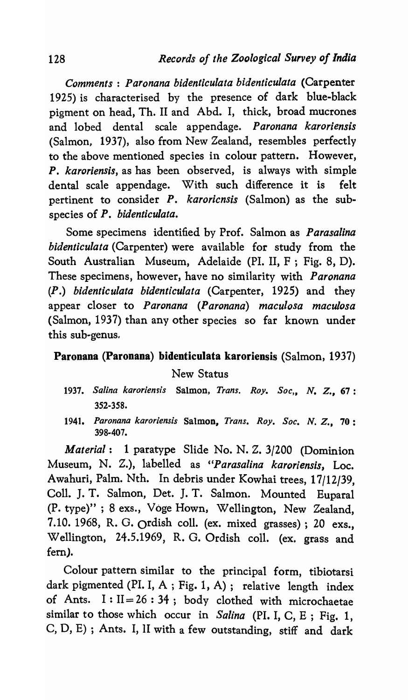*Comments* : *Paronana bidenticulata bidenticulata* (Carpenter 1925) is characterised by the presence of dark blue-black pigment on head, Th. II and Abd. I, thick, broad mucrones and lobed dental scale appendage. *Paronana karoriensis*  (Salmon, 1937), also from New Zealand, resembles perfectly to the above mentioned species in colour pattern. However, *P. karoriensis,* as has been observed, is always with simple dental scale appendage. With such difference it is felt pertinent to consider *P. karoricnsis* (Salmon) as the subspecies of *P. bidenticulata.* 

Some specimens identified by Prof. Salmon as *Parasalina bidenticulata* (Carpenter) were available for study from the South Australian Museum, Adelaide (PI. II, F ; Fig. 8, D). These specimens, however, have no similarity with *Paronana (P.) bidenticulata bidenticulata* (Carpenter, 1925) and they appear closer to *Paronana (Paronana) maculosa maculosa*  (Salmon, 1937) than any other species so far known under this sub-genus,

### Paronana (Paronana) bidenticulata karoriensis (Salmon, 1937)

New Status

- 1937. Salina karoriensis Salmon, *Trans. Roy. Soc.*, N. Z., 67: 352-358.
- *1941. Paronana karoriensis* Salmon, *Trans. Roy. Soc.* N. *Z.,* 70: 398-407.

*Material:* 1 paratype Slide No. N. Z. 3/200 (Dominion Museum, N. Z.), labelled as *"Parasalina karoriensis,* Loc. Awahuri, Palm. Nth. In debris under Kowhai trees, 17/12/39, ColI. J. T. Salmon, Det. J. T. Salmon. Mounted Euparal (P. type)" ; 8 exs., Voge Hown, Wellington, New Zealand, 7.10. 1968, R. G. ordish colI. (ex. mixed grasses); 20 exs., Wellington, 24.5.1969, R. G. Ordish colI. (ex. grass and fern).

Colour pattern similar to the principal form, tibiotarsi dark pigmented (PI. I, A; Fig. 1, A); relative length index of Ants.  $I: II = 26:34$ ; body clothed with microchaetae similar to those which occur in *Salina* (PI. I, C, E ; Fig. 1, C, D, E) ; Ants. I, II with a few outstanding, stiff and dark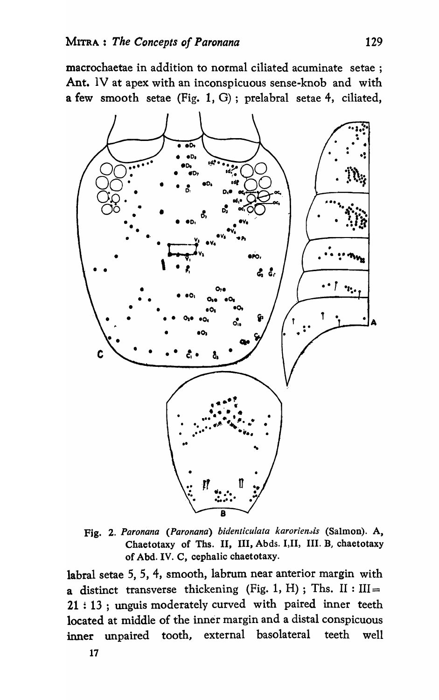macrochaetae in addition to normal ciliated acuminate setae; Ant. IV at apex with an inconspicuous sense-knob and with a few smooth setae (Fig. 1, G) ; prelabral setae 4, ciliated,



Fig. 2. Paronana (Paronana) bidenticulata karoriensis (Salmon). A, Chaetotaxy of Ths. II, III, Abds. I, II, III. B, chaetotaxy of Abd. IV. C, cephalic chaetotaxy.

labral setae 5, 5, 4, smooth, labrum near anterior margin with a distinct transverse thickening (Fig. 1, H); Ths. II :  $III =$ 21 : 13 ; unguis moderately curved with paired inner teeth located at middle of the inner margin and a distal conspicuous inner unpaired tooth, external basolateral teeth well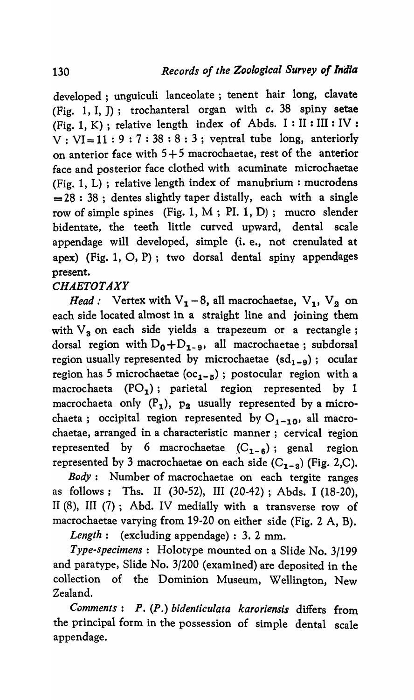developed; unguiculi lanceolate; tenent hair long, clavate (Fig. 1, I, J); trochanteral organ with *c.* 38 spiny setae (Fig. 1, K) ; relative length index of Abds. I: II : III : IV :  $V : VI=11 : 9 : 7 : 38 : 8 : 3$ ; ventral tube long, anteriorly on anterior face with  $5+5$  macrochaetae, rest of the anterior face and posterior face clothed with acuminate microchaetae (Fig. 1, L) ; relative length index of manubrium: mucrodens  $= 28 : 38$ ; dentes slightly taper distally, each with a single row of simple spines (Fig. 1, M ; PI. 1, D); mucro slender bidentate, the teeth little curved upward, dental scale appendage will developed, simple (i. e., not crenulated at apex) (Fig. 1, 0, P); two dorsal dental spiny appendages present.

# *CHAETOTAXY*

*Head:* Vertex with  $V_1 - 8$ , all macrochaetae,  $V_1$ ,  $V_2$  on each side located almost in a straight line and joining them with  $V_3$  on each side yields a trapezeum or a rectangle; dorsal region with  $D_0+D_{1-9}$ , all macrochaetae; subdorsal region usually represented by microchaetae  $(sd_{1-g})$ ; ocular region has 5 microchaetae ( $oc_{1-5}$ ); postocular region with a macrochaeta  $(PO_1)$ ; parietal region represented by 1 macrochaeta only  $(P_1)$ ,  $p_2$  usually represented by a microchaeta; occipital region represented by  $O_{1-10}$ , all macrochaetae, arranged in a characteristic manner; cervical region represented by 6 macrochaetae  $(C_{1 - \beta})$ ; genal region represented by 3 macrochaetae on each side  $(C_{1-3})$  (Fig. 2,C).

*Body*: Number of macrochaetae on each tergite ranges as follows; Ths. II (30-52), III (20-42) ; Abds. I (18-20), II (8), III (7); Abd. IV medially with a transverse row of macro chaetae varying from 19-20 on either side (Fig. 2 A, B).

*Length:* (excluding appendage) : 3. 2 mm.

*Type-specimens:* Holotype mounted on a Slide No. 3/199 and paratype, Slide No. 3/200 (examined) are deposited in the collection of the Dominion Museum, Wellington, New Zealand.

*Comments: P. (P.) bidenticulata karoriensis* differs from the principal form in the possession of simple dental scale appendage.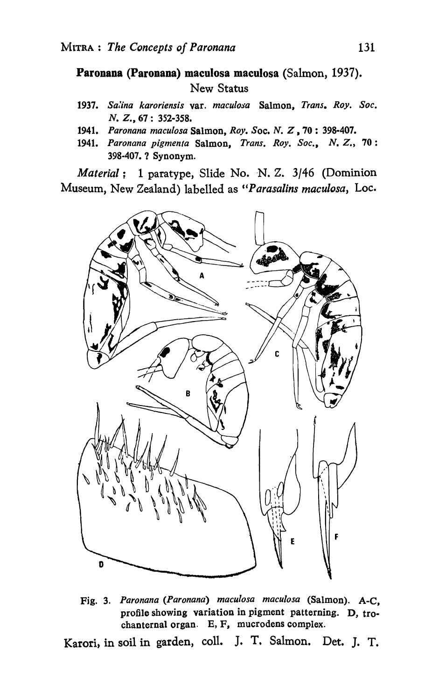Paronana (Paronana) maculosa maculosa (Salmon, 1937). New Status

- *1937. Sa,'ina karoriensis* var. *macu[oja* Salmon, *Trans. Roy. Soc.*  N. Z., 67: 352-358.
- 1941. Paronana maculosa Salmon, *Roy. Soc. N. Z*, 70: 398-407.
- *1941. Paronana pigmenta* Salmon, *Trans. Roy. Soc., N. Z.,* 70: 398-407. ? Synonym.

*Material*: 1 paratype, Slide No. N. Z. 3/46 (Dominion Museum, New Zealand) labelled as "Parasalins maculosa, Loc.



Fig. 3. *Paronana (Paronana) maculosa maculosa* (Salmon). A-C, profile showing variation in pigment patterning. D, trochanternal organ. E, F, mucrodens complex.

Karori, in soil in garden, coll. J. T. Salmon. Det. J. T.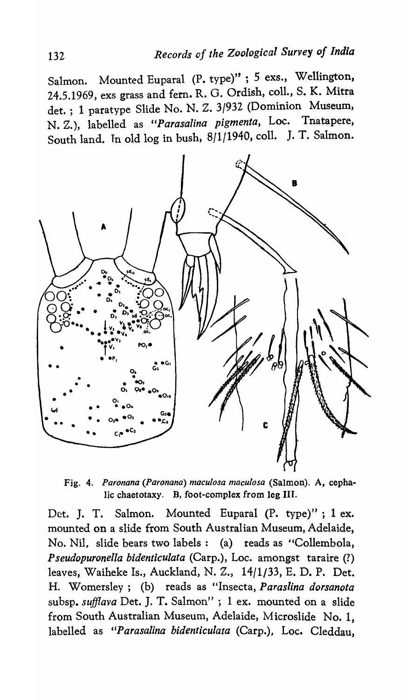Salmon. Mounted Euparal (P. type)" ; 5 exs., Wellington, 24.5.1969, exs grass and fern. R. G. Ordish, coll., S. K. Mitra det.; 1 paratype Slide No. N. Z. 3/932 (Dominion Museum, N. Z.), labelled as *"Parasalina pigmenta,* Loc. Tnatapere, South land. Tn old log in bush, 8/1/1940, colI. J. T. Salmon.



Fig. 4. Paronana (Paronana) maculosa maculosa (Salmon). A, cephalic chaetotaxy. B, foot-complex from leg III.

Det. J. T. Salmon. Mounted Euparal (P. type)"; 1 ex. mounted on a slide from South Australian Museum, Adelaide, No. Nil, slide bears two labels: (a) reads as "Collembola, *Pseudopuronel/a bidenticulata* (Carp.), Loc. amongst taraire (1) leaves, Waiheke Is., Auckland, N. Z., 14/1/33, E. D. P. Det. H. Womersley; (b) reads as "Insecta, *Paraslina dorsanota*  subsp. *sufflava* Det. J. T. Salmon" ; 1 ex. mounted on a slide from South Australian Museum, Adelaide, Microslide No.1, labelled as "Parasalina bidenticulata (Carp.), Loc. Cleddau,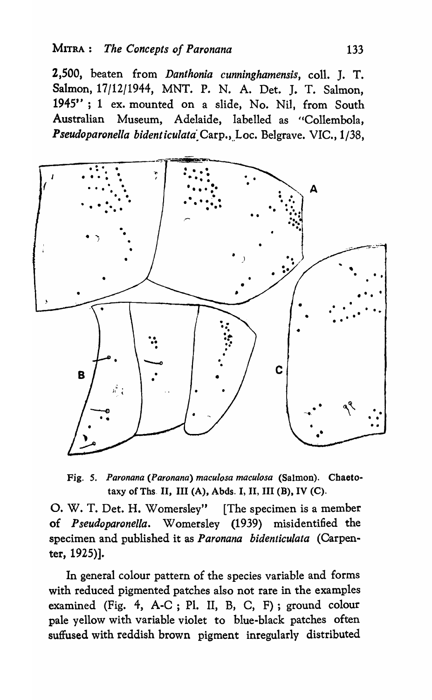2,500, beaten from *Danthonia cunninghamensis,* colI. J. T. Salmon, 17/12/1944, MNT. P. N. A. Det. J. T. Salmon, 1945" ; 1 ex. mounted on a slide, No. Nil, from South Australian Museum, Adelaide, labelled as "Collembola, Pseudoparonella bidenticulata<sub>.</sub> Carp., Loc. Belgrave. VIC., 1/38,



Fig. *S. Paronana (Paronana) maculosa maculosa* (Salmon). Chaetotaxy of Ths. II, III (A), Abds. I, II, III (B), IV (C).

0, W. T. Det. H. Womersley" [The specimen is a member of *Pseudoparonella.* Womersley (1939) misidentified the specimen and published it as *Paronana bidenticulata* (Carpenter, 1925)].

In general colour pattern of the species variable and forms with reduced pigmented patches also not rare in the examples examined (Fig. 4, A-C; PI. II, B, C, F); ground colour pale yellow with variable violet to blue-black patches often suffused with reddish brown pigment inregularly distributed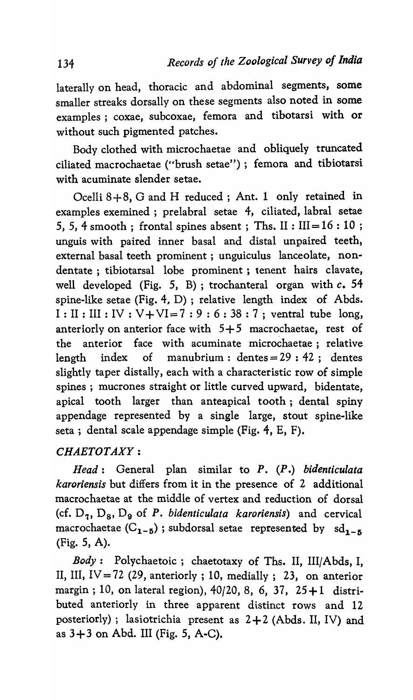laterally on head, thoracic and abdominal segments, some smaller streaks dorsally on these segments also noted in some examples ; coxae, subcoxae, femora and tibotarsi with or without such pigmented patches.

Body clothed with microchaetae and obliquely truncated ciliated macrochaetae ("brush setae"); femora and tibiotarsi with acuminate slender setae.

Ocelli 8+8, G and H reduced; Ant. 1 only retained in examples exemined ; prelabral setae 4, ciliated, labral setae 5, 5, 4 smooth; frontal spines absent; Ths. II :  $III = 16 : 10$ ; unguis with paired inner basal and distal unpaired teeth, external basal teeth prominent; unguiculus lance olate, nondentate; tibiotarsal lobe prominent; tenent hairs clavate, well developed (Fig. 5, B); trochanteral organ with *c. 54*  spine-like setae (Fig. 4, D) ; relative length index of Abds.  $I: II: III: IV: V+VI=7:9:6:38:7$ ; ventral tube long, anteriorly on anterior face with  $5+5$  macrochaetae, rest of the anterior face with acuminate microchaetae; relative length index of manubrium:  $dentes = 29 : 42$ ; dentes slightly taper distally, each with a characteristic row of simple spines ; mucrones straight or little curved upward, bidentate, apical tooth larger than anteapical tooth; dental spiny appendage represented by a single large, stout spine-like seta; dental scale appendage simple (Fig. 4, E, F).

## *CHAETOTAXY:*

*Head:* General plan similar to *P. (P* .) *bidenticulata karoriensis* but differs from it in the presence of 2 additional macrochaetae at the middle of vertex and reduction of dorsal (cf.  $D_7$ ,  $D_8$ ,  $D_9$  of P. *bidenticulata karoriensis*) and cervical macrochaetae  $(C_{1-5})$ ; subdorsal setae represented by  $sd_{1-5}$ (Fig. 5, A).

*Body*: Polychaetoic; chaetotaxy of Ths. II, III/Abds, I, II, III, IV = 72 (29, anteriorly; 10, medially; 23, on anterior margin; 10, on lateral region), 40/20, 8, 6, 37, 25 + 1 distributed anteriorly in three apparent distinct rows and 12 posteriorly); lasiotrichia present as 2+2 (Abds. II, IV) and as  $3+3$  on Abd. III (Fig. 5, A-C).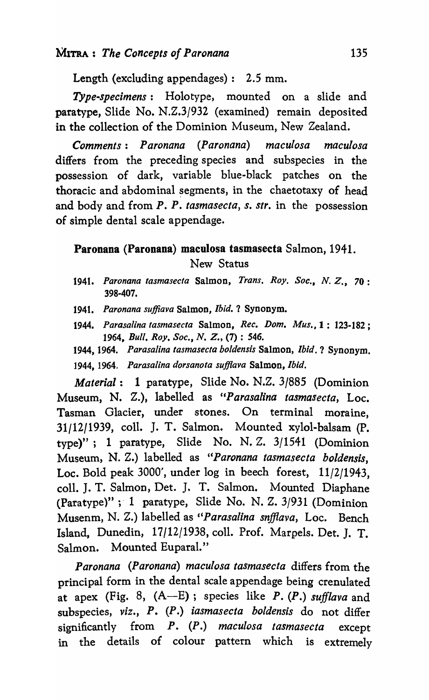Length (excluding appendages): 2.5 mm.

*Type-specimens:* Holotype, mounted on a slide and paratype, Slide No. N.Z.3/932 (examined) remain deposited in the collection of the Dominion Museum, New Zealand.

*Comments: Paronana (Paronana) maculosa maculosa*  differs from the preceding species and subspecies in the possession of dark, variable blue-black patches on the thoracic and abdominal segments, in the chaetotaxy of head and body and from *P. P. tasmasecta, s. sIr.* in the possession of simple dental scale appendage.

# Paronana (Paronana) maculosa tasmasecta Salmon, 1941. New Status

- *1941. Paronana tasmasecta* Salmon, *Trans. Roy. Soc., N. Z.,* 70: 398-407.
- *1941. Paronana suffiava* Salmon, *Ibid.* ? Synonym.
- *1944. Parasalina tasmasecta* Salmon, *Rec. Dam. Mus.,* 1 : 123-182; *1964, Bull. Roy. Soc., N. Z.,* (7) : 546.
- 1944, 1964. *Parasalina tasmasecta boldensis* Salmon, *Ibid.* ? Synonym. 1944, 1964. *Parasalina dorsanota suff/ava* Salmon, *Ibid.*

*Material:* 1 paratype, Slide No. N.Z. 3/885 (Dominion Museum, N. Z.), labelled as *"Parasalina tasmasecta,* Loc. Tasman Glacier, under stones. On terminal moraine, 31/12/1939, colI. J. T. Salmon. Mounted xylol-balsam (P. type)"; 1 paratype, Slide No. N. Z. 3/1541 (Dominion Museum, N. *Z.)* labelled as *"Paronana tasmasecta boldensis,*  Loc. Bold peak 3000', under log in beech forest, 11/2/1943, colI. J. T. Salmon, Det. J. T. Salmon. Mounted Diaphane (Paratype)" ; 1 paratype, Slide No. N. Z. 3/931 (Dominion Musenm, N. *Z.)* labelled as *"Parasalina snfflava,* Loc. Bench Island, Dunedin, 17/12/1938, colI. Prof. Marpels. Det. J. T. Salmon. Mounted Euparal."

*Paron ana (Paronana) maculosa tasmasecta* differs from the principal form in the dental scale appendage being crenulated at apex (Fig. 8, (A-E); species like *P. (P.) sufilava* and subspecies, *viz., P. (P.) iasmasecta boldensis* do not differ significantly from *P. (P.) maculosa tasmasecla* except in the details of colour pattern which is extremely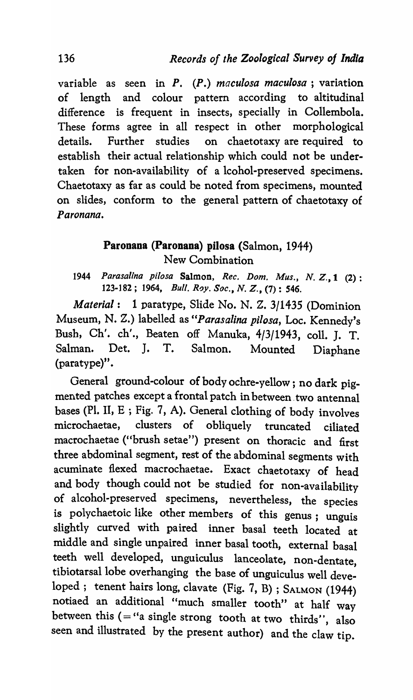variable as seen in *P. (P.) maculosa maculosa* ; variation of length and colour pattern according to altitudinal difference is frequent in insects, specially in Collembola. These forms agree in all respect in other morphological details. Further studies on chaetotaxy are required to establish their actual relationship which could not be undertaken for non-availability of a lcohol-preserved specimens. Chaetotaxy as far as could be noted from specimens, mounted on slides, conform to the general pattern of chaetotaxy of *Paronana.* 

# Paronana (Paronana) pilosa (Salmon, 1944) New Combination

*1944 Parasalina pilosa* Salmon, *Rec. Dom. Mus., N.* Z., 1 (2): 123-182; 1964, *Bull. Roy. Soc., N. Z.*, (7): 546.

*Material:* 1 paratype, Slide No. N. Z. 3/1435 (Dominion Museum, N. Z.) labelled as *"Parasalina pilosa,* Loc. Kennedy's Bush, Ch'. ch'., Beaten off Manuka, 4/3/1943, colI. J. T. Salman. Det. J. T. Salmon. Mounted Diaphane (paratype)".

General ground-colour of body ochre-yellow; no dark pigmented patches except a frontal patch in between two antennal bases (PI. II, E ; Fig. 7, A). General clothing of body involves microchaetae, clusters of obliquely truncated ciliated macrochaetae ("brush setae") present on thoracic and first three abdominal segment, rest of the abdominal segments with acuminate flexed macrochaetae. Exact chaetotaxy of head and body though could not be studied for non-availability of alcohol-preserved specimens, nevertheless, the species is polychaetoic like other members of this genus; unguis slightly curved with paired inner basal teeth located at middle and single unpaired inner basal tooth, external basal teeth well developed, unguiculus lanceolate, non-dentate, tibiotarsal lobe overhanging the base of unguiculus well developed; tenent hairs long, clavate (Fig. 7, B) ; SALMON (1944) notiaed an additional "much smaller tooth" at half way between this  $( = "a \text{ single strong tooth at two thirds", also})$ seen and illustrated by the present author) and the claw tip.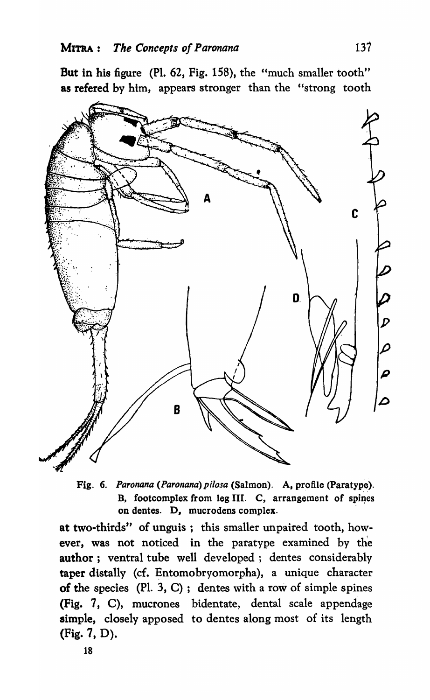But in his figure (Pl. 62, Fig. 158), the "much smaller tooth" as refered by him, appears stronger than the "strong tooth



Fig. 6. Paronana (Paronana) pilosa (Salmon). A, profile (Paratype). B, footcomplex from leg III. C, arrangement of spines on dentes. D, mucrodens complex.

at two-thirds" of unguis; this smaller unpaired tooth, however, was not noticed in the paratype examined by the author; ventral tube well developed; dentes considerably taper distally (cf. Entomobryomorpha), a unique character of the species  $(Pl. 3, C)$ ; dentes with a row of simple spines (Fig. 7, C), mucrones bidentate, dental scale appendage simple, closely apposed to dentes along most of its length (Fig. 7, D).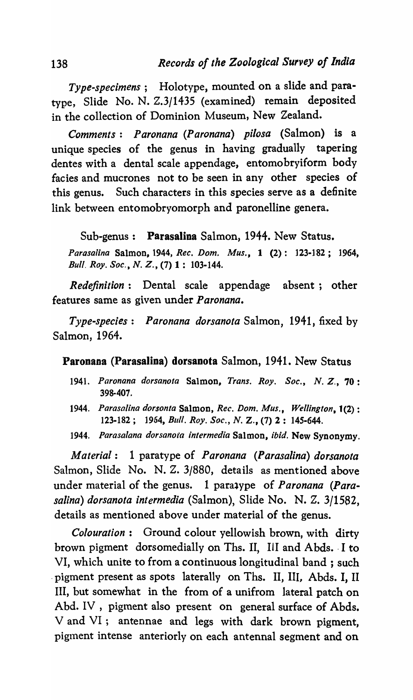*Type-specimens;* Holotype, mounted on a slide and paratype, Slide No. N. *Z.3/1435* (examined) remain deposited in the collection of Dominion Museum, New Zealand.

*Comments: Paronana (Paronana) pilosa* (Salmon) is a unique species of the genus in having gradually tapering dentes with a dental scale appendage, entomobryiform body facies and mucrones not to be seen in any other species of this genus. Such characters in this species serve as a definite link between entomobryomorph and paronelline genera.

Sub-genus: Parasalina Salmon, 1944. New Status.

*Parasalina* Salmon, 1944, *Rec. Dom. Mus.,* 1 (2): 123·182; 1964, *Bull, Roy. Soc., N. Z.,* (7) 1 : 103·144.

*Redefinition:* Dental scale appendage absent; other features same as given under *Paronana.* 

*Type-species: Paronana dorsanota* Salmon, 1941, fixed by Salmon, 1964.

Paronana (Parasalina) dorsanota Salmon, 1941. New Status

- *1941. Paronana dorsanota* Salmon, *Trans. Roy. Soc., N. Z.,* 70: 398·407.
- *1944. Parasalina dorsonta* Salmon, *Rec.* Dom. *Mus., Wellington,* 1(2) : 123-182; 1954, *Bull. Roy. Soc., N. Z.,* (7) 2: 145-644.
- *1944. Parasalana dorsanota intermedia* Salmon, *ibid.* New Synonymy.

*Material:* 1 paratype of *Paronana (Parasalina) dorsanota*  Salmon, Slide No. N. Z. 3/880, details as mentioned above under material of the genus. 1 para<sub>4ype</sub> of *Paronana (Parasalina) dorsanota intermedia* (Salmon), Slide No. N. Z. 3/1582, details as mentioned above under material of the genus.

*Colouration*: Ground colour yellowish brown, with dirty brown pigment dorsomedially on Ths. II, III and Abds. I to VI, which unite to from a continuous longitudinal band; such . pigment present as spots laterally on Ths. II, III, Abds. I, II III, but somewhat in the from of a unifrom lateral patch on Abd. IV, pigment also present on general surface of Abds. V and VI; antennae and legs with dark brown pigment, pigment intense anteriorly on each antennal segment and on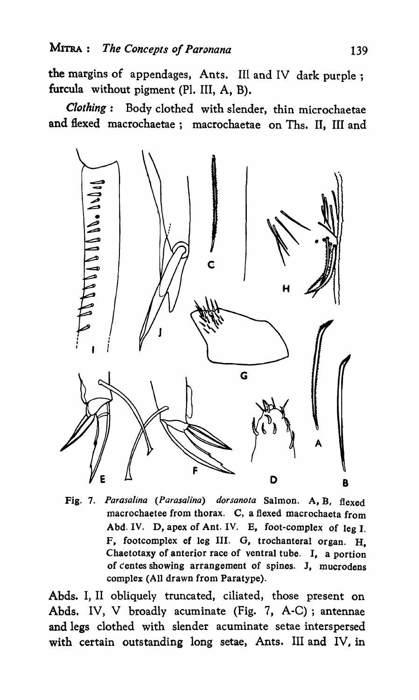the margins of appendages, Ants. III and IV dark purple; furcula without pigment (PI. III, A, B).

*Clothing:* Body clothed with slender, thin microchaetae and flexed macrochaetae; macrochaetae on Ths. II, III and



Fig. 7. *Parasalina (Parasalina) dorsanota* Salmon. A, B, flexed macrochaetee from thorax. C, a flexed macrochaeta from Abd. IV. D, apex of Ant. IV. E, foot-complex of leg I. F, footcomplex ef leg III. G, trochanteral organ. H. Chaetotaxy of anterior race of ventral tube. I, a portion of centes showing arrangement of spines. J, mucrodens complex (All drawn from Paratype).

Abds. I, II obliquely truncated, ciliated, those present on Abds. IV, V broadly acuminate (Fig. 7, A-C); antennae and legs clothed with slender acuminate setae interspersed with certain outstanding long setae, Ants. III and IV, in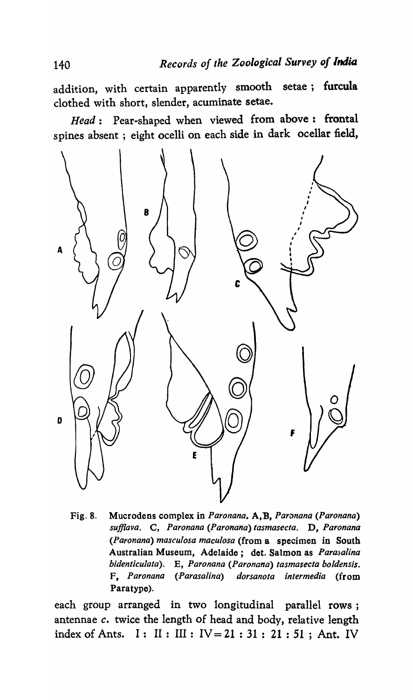addition, with certain apparently smooth setae; furcula clothed with short, slender, acuminate setae.

*Head:* Pear-shaped when viewed from above: frontal spines absent; eight ocelli on each side in dark ocellar field,



Fig. 8. Mucrodens complex in *Paronana*. **A, B, Paronana (Paronana)** *sufflava.* C, *Paronana (Paronana) tasmasecta.* D, *Paronana (Paronana) masculosa macu/osa* (from a specimen in South Australian Museum, Adelaide; det. Salmon as *Parasalina bidenticulata).* E, *Paronana (Paronana) tasmasecta boldensis.*  F, *Paronana (Parasalina) dorsanota intermedia* (from Paratype).

each group arranged in two longitudinal parallel rows; antennae *c.* twice the length of head and body, relative length index of Ants. I: II: III:  $IV = 21 : 31 : 21 : 51$ ; Ant. IV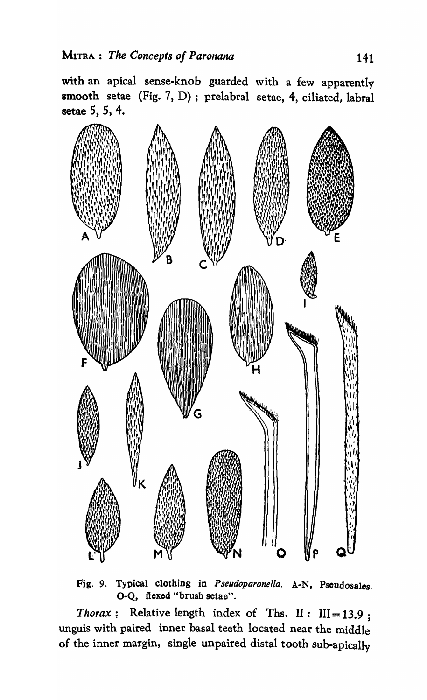with an apical sense-knob guarded with a few apparently smooth setae (Fig. 7, D) ; prelabral setae, 4, ciliated, labral setae 5, 5, 4.



FIg. 9. Typical clothing in *Pseudoparonel/a.* A-N. Pseudosales. O-Q, flexed "brush setae".

*Thorax* : Relative length index of Ths. II:  $III = 13.9$ ; unguis with paired inner basal teeth located near the middle of the inner margin, single unpaired distal tooth sub-apically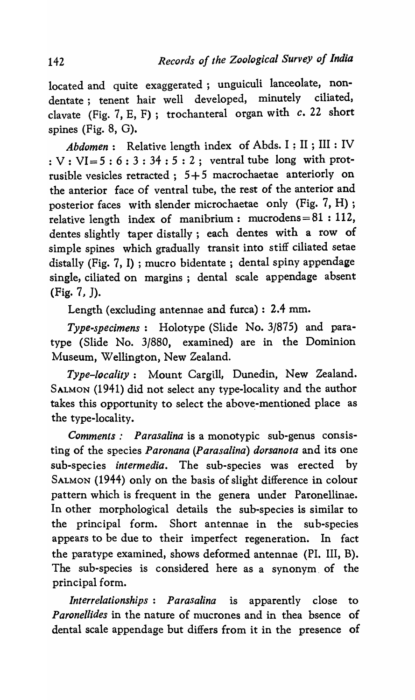located and quite exaggerated; unguiculi lanceolate, nondentate; tenent hair well developed, minutely ciliated, clavate (Fig. 7, E, F); trochanteral organ with *c.* 22 short spines (Fig. 8, G).

*Abdomen:* Relative length index of Abds. I ; II ; III : IV :  $V: VI=5:6:3:34:5:2$ ; ventral tube long with protrusible vesicles retracted;  $5+5$  macrochaetae anteriorly on the anterior face of ventral tube, the rest of the anterior and posterior faces with slender microchaetae only (Fig. 7, H) ; relative length index of manibrium: mucrodens= $81:112$ , dentes slightly taper distally; each dentes with a row of simple spines which gradually transit into stiff ciliated setae distally (Fig. 7, I) ; mucro bidentate ; dental spiny appendage single, ciliated on margins; dental scale appendage absent (Fig. 7, J).

Length (excluding antennae and furca): 2.4 mm.

*Type-specimens:* Holotype (Slide No. 3/875) and paratype (Slide No. 3/880, examined) are in the Dominion Museum, Wellington, New Zealand.

*Type-locality:* Mount Cargill, Dunedin, New Zealand. SALMON (1941) did not select any type-locality and the author takes this opportunity to select the above-mentioned place as the type-locality.

*Comments: Parasalina* is a monotypic sub-genus consisting of the species *Paronana (Parasalina) dorsanota* and its one suh-species *intermedia.* The sub-species was erected by SALMON (1944) only on the basis of slight difference in colour pattern which is frequent in the genera under Paronellinae. In other morphological details the sub-species is similar to the principal form. Short antennae in the suh-species appears to be due to their imperfect regeneration. In fact the paratype examined, shows deformed antennae (PI. III, B). The sub-species is considered here as a synonym. of the principal form.

*Interrelationships: Parasalina* is apparently close to *Paronellides* in the nature of mucrones and in thea bsence of dental scale appendage but differs from it in the presence of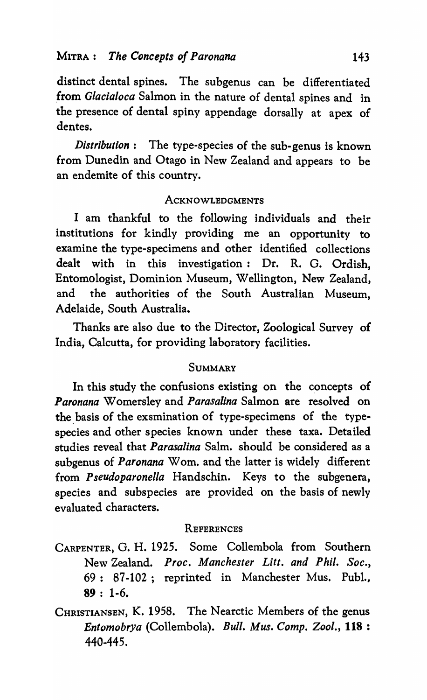distinct dental spines. The subgenus can be differentiated from *Glacialoca* Salmon in the nature of dental spines and in the presence of dental spiny appendage dorsally at apex of dentes.

*Distribution:* The type-species of the sub-genus is known from Dunedin and Otago in New Zealand and appears to be an endemite of this country.

## **ACKNOWLEDGMENTS**

I am thankful to the following individuals and their institutions for kindly providing me an opportunity to examine the type-specimens and other identified collections dealt with in this investigation: Dr. R. G. Ordish, Entomologist, Dominion Museum, Wellington, New Zealand, and the authorities of the South Australian Museum, Adelaide, South Australia.

Thanks are also due to the Director, Zoological Survey of India, Calcutta, for providing laboratory facilities.

### **SUMMARY**

In this study the confusions existing on the concepts of *Paronana* Womersley and *Parasalina* Salmon are resolved on the basis of the exsmination of type-specimens of the typespecies and other species known under these taxa. Detailed studies reveal that *Parasalina* Salm. should be considered as a subgenus of *Paronana* Wom. and the latter is widely different from *Pseudoparonella* Handschin. Keys to the subgenera, species and subspecies are provided on the basis of newly evaluated characters.

### **REFERENCES**

CARPENTER, G. H. 1925. Some Collembola from Southern New Zealand. *Proc. Manchester Litt. and Phil. Soc.,*  69: 87-102; reprinted in Manchester Mus. Pub!., 89: 1-6.

CHRISTIANSEN, K. 1958. The Nearctic Members of the genus *Entomobrya* (Collembola). *Bull. Mus. Comp. Zool.,* 118 : 440-445.